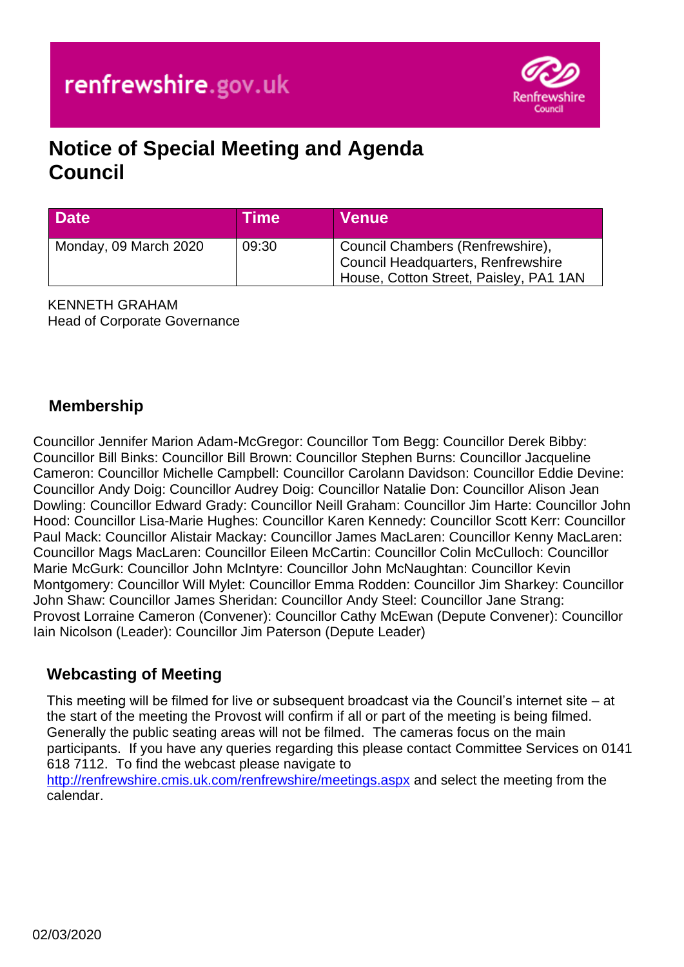

# **Notice of Special Meeting and Agenda Council**

| <b>Date</b>           | Time  | <b>Venue</b>                                                                                                     |
|-----------------------|-------|------------------------------------------------------------------------------------------------------------------|
| Monday, 09 March 2020 | 09:30 | Council Chambers (Renfrewshire),<br>Council Headquarters, Renfrewshire<br>House, Cotton Street, Paisley, PA1 1AN |

KENNETH GRAHAM Head of Corporate Governance

# **Membership**

Councillor Jennifer Marion Adam-McGregor: Councillor Tom Begg: Councillor Derek Bibby: Councillor Bill Binks: Councillor Bill Brown: Councillor Stephen Burns: Councillor Jacqueline Cameron: Councillor Michelle Campbell: Councillor Carolann Davidson: Councillor Eddie Devine: Councillor Andy Doig: Councillor Audrey Doig: Councillor Natalie Don: Councillor Alison Jean Dowling: Councillor Edward Grady: Councillor Neill Graham: Councillor Jim Harte: Councillor John Hood: Councillor Lisa-Marie Hughes: Councillor Karen Kennedy: Councillor Scott Kerr: Councillor Paul Mack: Councillor Alistair Mackay: Councillor James MacLaren: Councillor Kenny MacLaren: Councillor Mags MacLaren: Councillor Eileen McCartin: Councillor Colin McCulloch: Councillor Marie McGurk: Councillor John McIntyre: Councillor John McNaughtan: Councillor Kevin Montgomery: Councillor Will Mylet: Councillor Emma Rodden: Councillor Jim Sharkey: Councillor John Shaw: Councillor James Sheridan: Councillor Andy Steel: Councillor Jane Strang: Provost Lorraine Cameron (Convener): Councillor Cathy McEwan (Depute Convener): Councillor Iain Nicolson (Leader): Councillor Jim Paterson (Depute Leader)

### **Webcasting of Meeting**

This meeting will be filmed for live or subsequent broadcast via the Council's internet site – at the start of the meeting the Provost will confirm if all or part of the meeting is being filmed. Generally the public seating areas will not be filmed. The cameras focus on the main participants. If you have any queries regarding this please contact Committee Services on 0141 618 7112. To find the webcast please navigate to

<http://renfrewshire.cmis.uk.com/renfrewshire/meetings.aspx> and select the meeting from the calendar.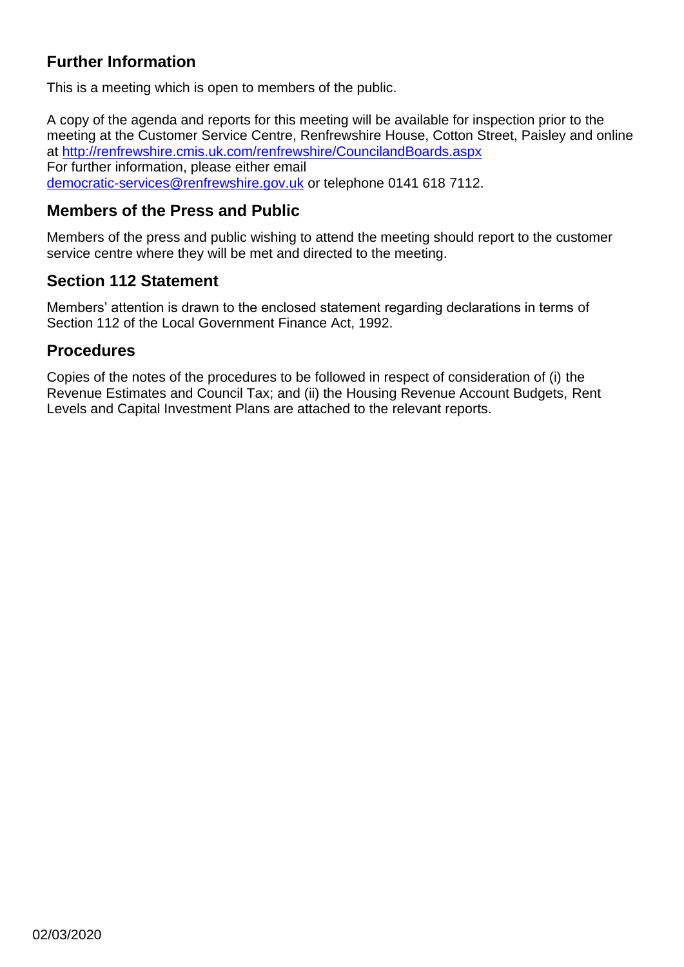# **Further Information**

This is a meeting which is open to members of the public.

A copy of the agenda and reports for this meeting will be available for inspection prior to the meeting at the Customer Service Centre, Renfrewshire House, Cotton Street, Paisley and online at <http://renfrewshire.cmis.uk.com/renfrewshire/CouncilandBoards.aspx> For further information, please either email [democratic-services@renfrewshire.gov.uk](mailto:democratic-services@renfrewshire.gov.uk) or telephone 0141 618 7112.

#### **Members of the Press and Public**

Members of the press and public wishing to attend the meeting should report to the customer service centre where they will be met and directed to the meeting.

#### **Section 112 Statement**

Members' attention is drawn to the enclosed statement regarding declarations in terms of Section 112 of the Local Government Finance Act, 1992.

#### **Procedures**

Copies of the notes of the procedures to be followed in respect of consideration of (i) the Revenue Estimates and Council Tax; and (ii) the Housing Revenue Account Budgets, Rent Levels and Capital Investment Plans are attached to the relevant reports.